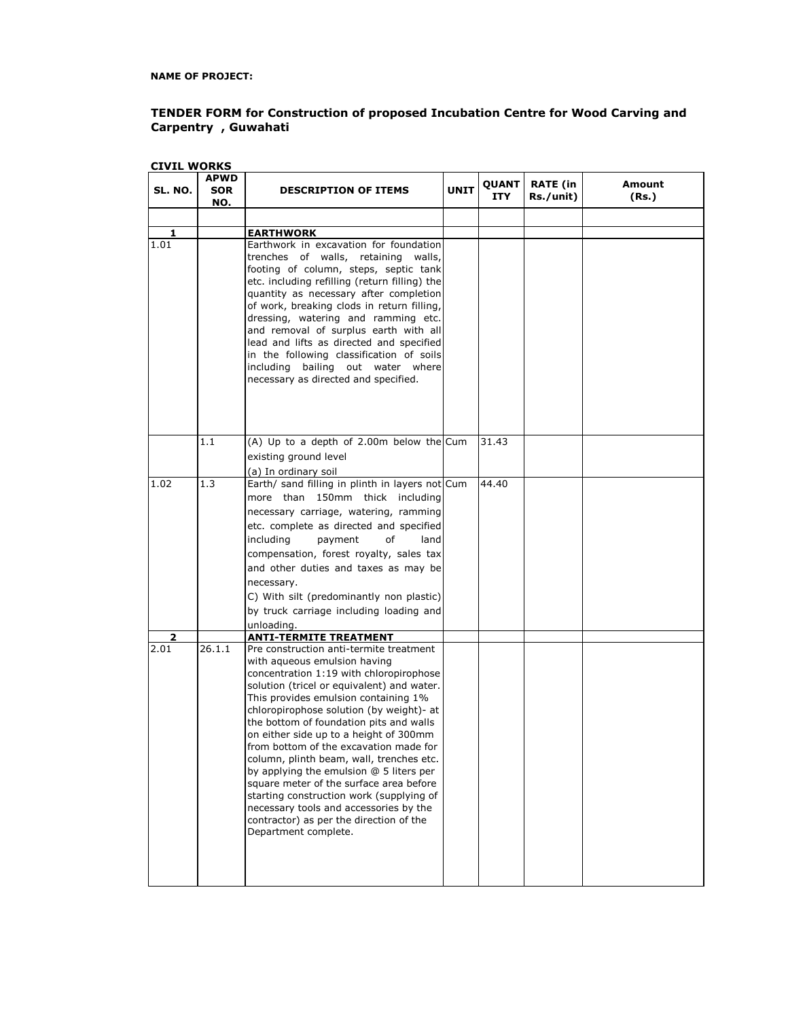**NAME OF PROJECT:**

## **TENDER FORM for Construction of proposed Incubation Centre for Wood Carving and Carpentry , Guwahati**

| <b>CIVIL WORKS</b> |                           |                                                                                                                                                                                                                                                                                                                                                                                                                                                                                                                                                                                                                                                                                                                 |             |               |                              |                 |
|--------------------|---------------------------|-----------------------------------------------------------------------------------------------------------------------------------------------------------------------------------------------------------------------------------------------------------------------------------------------------------------------------------------------------------------------------------------------------------------------------------------------------------------------------------------------------------------------------------------------------------------------------------------------------------------------------------------------------------------------------------------------------------------|-------------|---------------|------------------------------|-----------------|
| SL. NO.            | <b>APWD</b><br>SOR<br>NO. | <b>DESCRIPTION OF ITEMS</b>                                                                                                                                                                                                                                                                                                                                                                                                                                                                                                                                                                                                                                                                                     | <b>UNIT</b> | QUANT<br>ITY. | <b>RATE (in</b><br>Rs./unit) | Amount<br>(Rs.) |
|                    |                           |                                                                                                                                                                                                                                                                                                                                                                                                                                                                                                                                                                                                                                                                                                                 |             |               |                              |                 |
|                    |                           |                                                                                                                                                                                                                                                                                                                                                                                                                                                                                                                                                                                                                                                                                                                 |             |               |                              |                 |
| 1<br>1.01          |                           | <b>EARTHWORK</b><br>Earthwork in excavation for foundation<br>trenches of walls, retaining walls,<br>footing of column, steps, septic tank<br>etc. including refilling (return filling) the<br>quantity as necessary after completion<br>of work, breaking clods in return filling,<br>dressing, watering and ramming etc.<br>and removal of surplus earth with all<br>lead and lifts as directed and specified<br>in the following classification of soils<br>including bailing out water where<br>necessary as directed and specified.                                                                                                                                                                        |             |               |                              |                 |
|                    | 1.1                       | (A) Up to a depth of 2.00m below the Cum<br>existing ground level<br>(a) In ordinary soil                                                                                                                                                                                                                                                                                                                                                                                                                                                                                                                                                                                                                       |             | 31.43         |                              |                 |
| 1.02               | 1.3                       | Earth/ sand filling in plinth in layers not Cum<br>more than 150mm thick including<br>necessary carriage, watering, ramming<br>etc. complete as directed and specified<br>of<br>including<br>payment<br>land<br>compensation, forest royalty, sales tax<br>and other duties and taxes as may be<br>necessary.<br>C) With silt (predominantly non plastic)<br>by truck carriage including loading and<br>unloading.                                                                                                                                                                                                                                                                                              |             | 44.40         |                              |                 |
| 2<br>2.01          | 26.1.1                    | <b>ANTI-TERMITE TREATMENT</b><br>Pre construction anti-termite treatment<br>with aqueous emulsion having<br>concentration 1:19 with chloropirophose<br>solution (tricel or equivalent) and water.<br>This provides emulsion containing 1%<br>chloropirophose solution (by weight)- at<br>the bottom of foundation pits and walls<br>on either side up to a height of 300mm<br>from bottom of the excavation made for<br>column, plinth beam, wall, trenches etc.<br>by applying the emulsion @ 5 liters per<br>square meter of the surface area before<br>starting construction work (supplying of<br>necessary tools and accessories by the<br>contractor) as per the direction of the<br>Department complete. |             |               |                              |                 |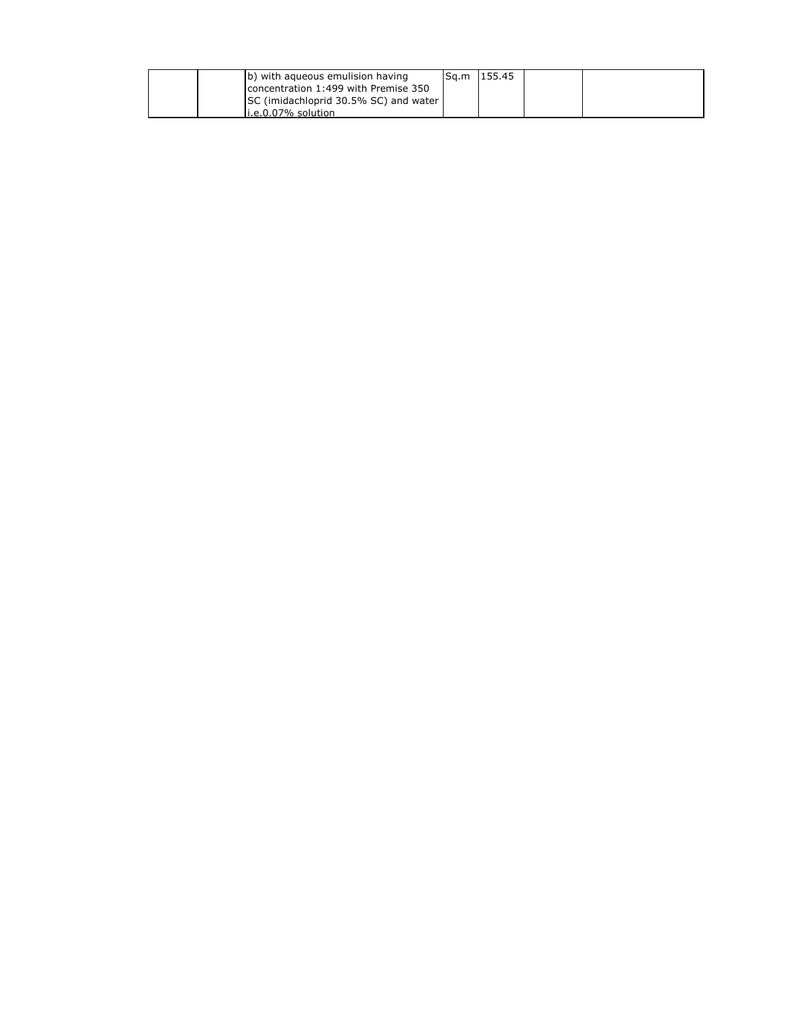| (b) with agueous emulision having     | Sq.m 155.45 |  |
|---------------------------------------|-------------|--|
| concentration 1:499 with Premise 350  |             |  |
| SC (imidachloprid 30.5% SC) and water |             |  |
| $i.e. 0.07\%$ solution                |             |  |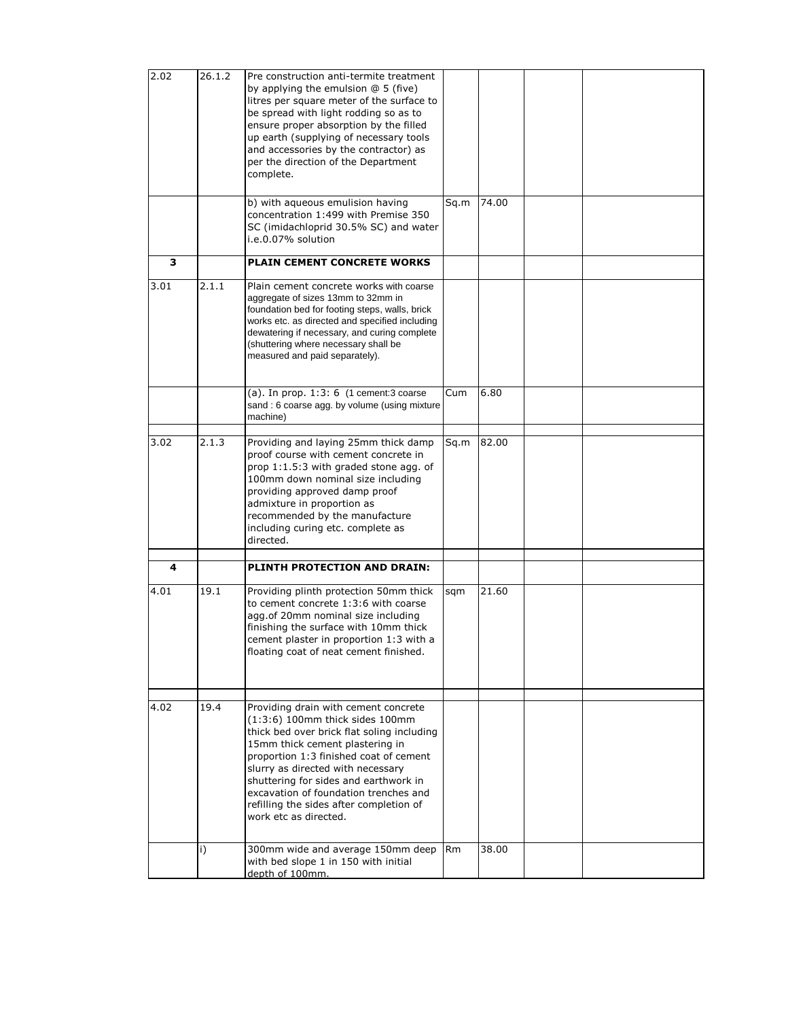| 2.02 | 26.1.2            | Pre construction anti-termite treatment<br>by applying the emulsion $@5$ (five)<br>litres per square meter of the surface to<br>be spread with light rodding so as to<br>ensure proper absorption by the filled<br>up earth (supplying of necessary tools<br>and accessories by the contractor) as<br>per the direction of the Department<br>complete.                                          |                |       |  |
|------|-------------------|-------------------------------------------------------------------------------------------------------------------------------------------------------------------------------------------------------------------------------------------------------------------------------------------------------------------------------------------------------------------------------------------------|----------------|-------|--|
|      |                   | b) with aqueous emulision having<br>concentration 1:499 with Premise 350<br>SC (imidachloprid 30.5% SC) and water<br>i.e.0.07% solution                                                                                                                                                                                                                                                         | Sq.m           | 74.00 |  |
| з    |                   | <b>PLAIN CEMENT CONCRETE WORKS</b>                                                                                                                                                                                                                                                                                                                                                              |                |       |  |
| 3.01 | 2.1.1             | Plain cement concrete works with coarse<br>aggregate of sizes 13mm to 32mm in<br>foundation bed for footing steps, walls, brick<br>works etc. as directed and specified including<br>dewatering if necessary, and curing complete<br>(shuttering where necessary shall be<br>measured and paid separately).                                                                                     |                |       |  |
|      |                   | (a). In prop. $1:3:6$ (1 cement: 3 coarse<br>sand: 6 coarse agg. by volume (using mixture<br>machine)                                                                                                                                                                                                                                                                                           | Cum            | 6.80  |  |
| 3.02 | 2.1.3             | Providing and laying 25mm thick damp<br>proof course with cement concrete in<br>prop 1:1.5:3 with graded stone agg. of<br>100mm down nominal size including<br>providing approved damp proof<br>admixture in proportion as<br>recommended by the manufacture<br>including curing etc. complete as<br>directed.                                                                                  | Sq.m           | 82.00 |  |
| 4    |                   | PLINTH PROTECTION AND DRAIN:                                                                                                                                                                                                                                                                                                                                                                    |                |       |  |
| 4.01 | 19.1              | Providing plinth protection 50mm thick<br>to cement concrete 1:3:6 with coarse<br>agg.of 20mm nominal size including<br>finishing the surface with 10mm thick<br>cement plaster in proportion 1:3 with a<br>floating coat of neat cement finished.                                                                                                                                              | sqm            | 21.60 |  |
| 4.02 | 19.4              | Providing drain with cement concrete<br>$(1:3:6)$ 100mm thick sides 100mm<br>thick bed over brick flat soling including<br>15mm thick cement plastering in<br>proportion 1:3 finished coat of cement<br>slurry as directed with necessary<br>shuttering for sides and earthwork in<br>excavation of foundation trenches and<br>refilling the sides after completion of<br>work etc as directed. |                | 38.00 |  |
|      | $\vert i \rangle$ | 300mm wide and average 150mm deep<br>with bed slope 1 in 150 with initial<br>depth of 100mm.                                                                                                                                                                                                                                                                                                    | R <sub>m</sub> |       |  |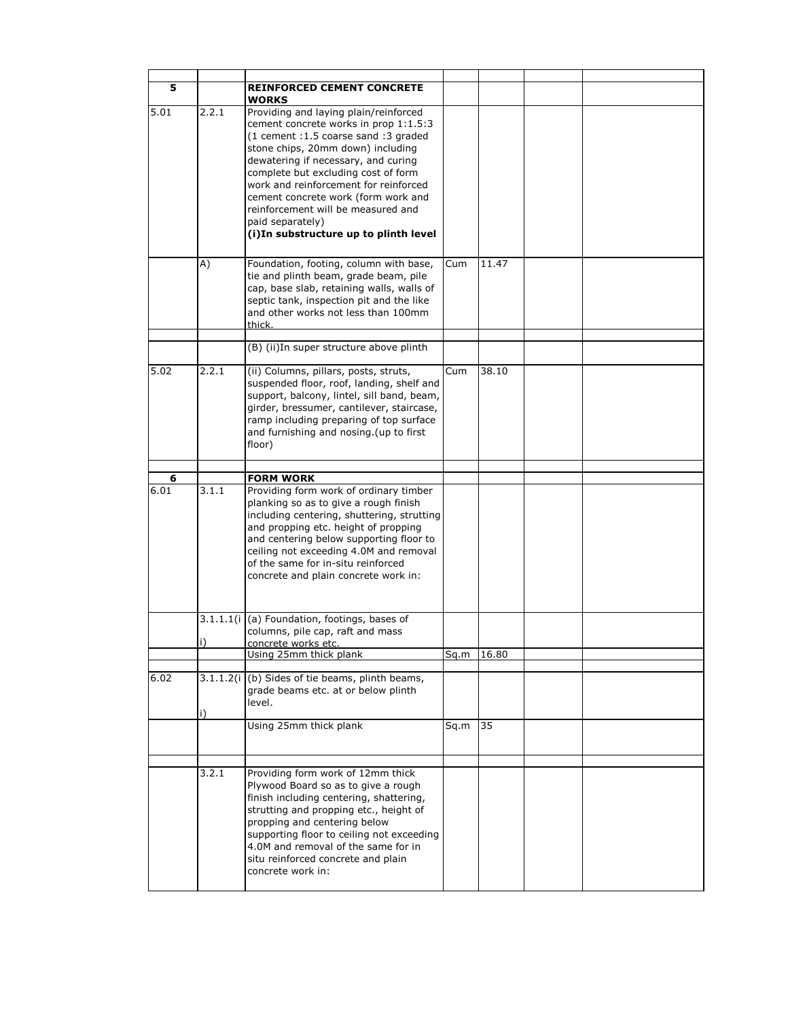| 5    |           | <b>REINFORCED CEMENT CONCRETE</b><br>WORKS                                                                                                                                                                                                                                                                                                                                                                                      |      |       |  |
|------|-----------|---------------------------------------------------------------------------------------------------------------------------------------------------------------------------------------------------------------------------------------------------------------------------------------------------------------------------------------------------------------------------------------------------------------------------------|------|-------|--|
| 5.01 | 2.2.1     | Providing and laying plain/reinforced<br>cement concrete works in prop 1:1.5:3<br>(1 cement : 1.5 coarse sand : 3 graded<br>stone chips, 20mm down) including<br>dewatering if necessary, and curing<br>complete but excluding cost of form<br>work and reinforcement for reinforced<br>cement concrete work (form work and<br>reinforcement will be measured and<br>paid separately)<br>(i) In substructure up to plinth level |      |       |  |
|      | A)        | Foundation, footing, column with base,<br>tie and plinth beam, grade beam, pile<br>cap, base slab, retaining walls, walls of<br>septic tank, inspection pit and the like<br>and other works not less than 100mm<br>thick.                                                                                                                                                                                                       | Cum  | 11.47 |  |
|      |           | (B) (ii) In super structure above plinth                                                                                                                                                                                                                                                                                                                                                                                        |      |       |  |
| 5.02 | 2.2.1     | (ii) Columns, pillars, posts, struts,<br>suspended floor, roof, landing, shelf and<br>support, balcony, lintel, sill band, beam,<br>girder, bressumer, cantilever, staircase,<br>ramp including preparing of top surface<br>and furnishing and nosing. (up to first<br>floor)                                                                                                                                                   | Cum  | 38.10 |  |
| 6    |           | <b>FORM WORK</b>                                                                                                                                                                                                                                                                                                                                                                                                                |      |       |  |
| 6.01 | 3.1.1     | Providing form work of ordinary timber<br>planking so as to give a rough finish<br>including centering, shuttering, strutting<br>and propping etc. height of propping<br>and centering below supporting floor to<br>ceiling not exceeding 4.0M and removal<br>of the same for in-situ reinforced<br>concrete and plain concrete work in:                                                                                        |      |       |  |
|      | 3.1.1.1(i | (a) Foundation, footings, bases of<br>columns, pile cap, raft and mass                                                                                                                                                                                                                                                                                                                                                          |      |       |  |
|      | i)        | concrete works etc.                                                                                                                                                                                                                                                                                                                                                                                                             |      |       |  |
|      |           | Using 25mm thick plank                                                                                                                                                                                                                                                                                                                                                                                                          | Sq.m | 16.80 |  |
| 6.02 |           | 3.1.1.2(i (b) Sides of tie beams, plinth beams,<br>grade beams etc. at or below plinth<br>level.                                                                                                                                                                                                                                                                                                                                |      |       |  |
|      |           | Using 25mm thick plank                                                                                                                                                                                                                                                                                                                                                                                                          | Sq.m | 35    |  |
|      | 3.2.1     | Providing form work of 12mm thick<br>Plywood Board so as to give a rough<br>finish including centering, shattering,<br>strutting and propping etc., height of<br>propping and centering below<br>supporting floor to ceiling not exceeding<br>4.0M and removal of the same for in<br>situ reinforced concrete and plain<br>concrete work in:                                                                                    |      |       |  |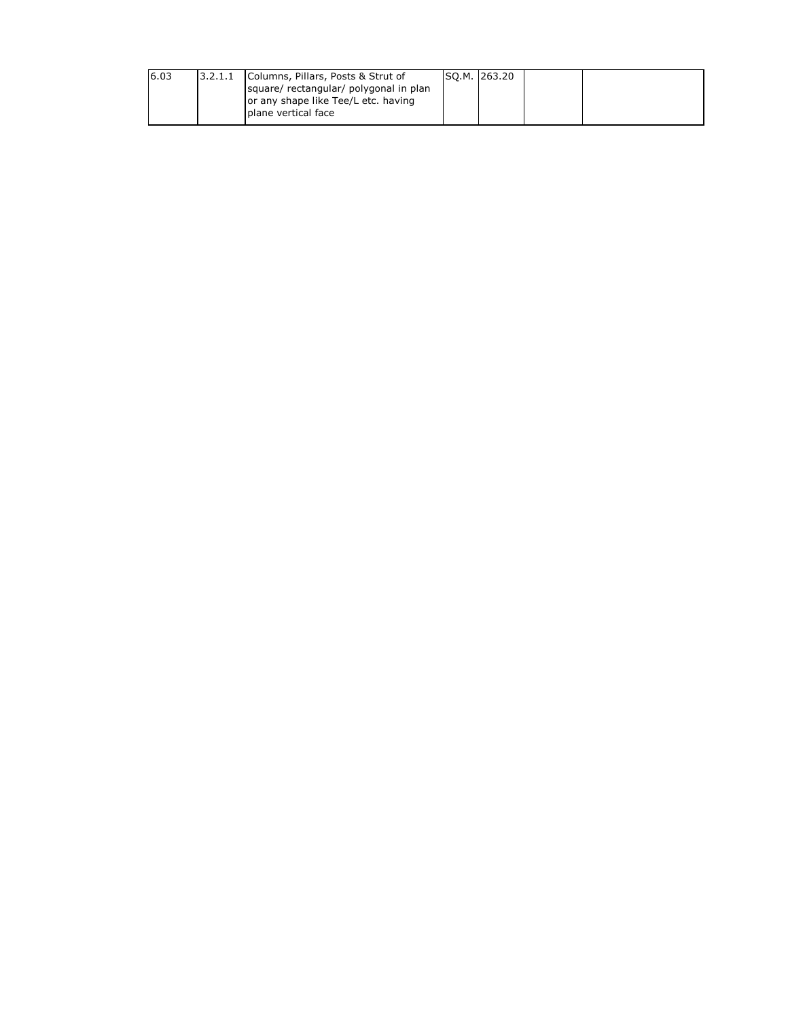| 6.03 | 3.2.1.1 | Columns, Pillars, Posts & Strut of<br>square/ rectangular/ polygonal in plan<br>or any shape like Tee/L etc. having | SQ.M. 263.20 |  |
|------|---------|---------------------------------------------------------------------------------------------------------------------|--------------|--|
|      |         | plane vertical face                                                                                                 |              |  |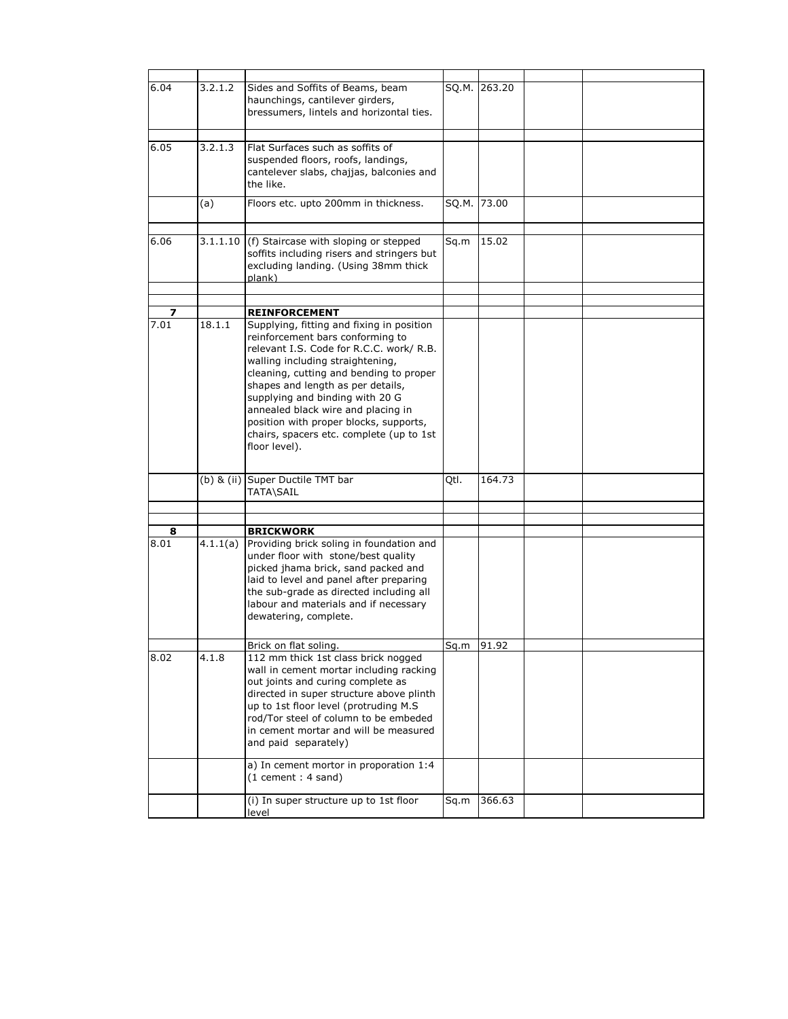| 6.04      | 3.2.1.2 | Sides and Soffits of Beams, beam<br>haunchings, cantilever girders,<br>bressumers, lintels and horizontal ties.                                                                                                                                                                                                                                                                                                               | SQ.M. | 263.20                  |  |
|-----------|---------|-------------------------------------------------------------------------------------------------------------------------------------------------------------------------------------------------------------------------------------------------------------------------------------------------------------------------------------------------------------------------------------------------------------------------------|-------|-------------------------|--|
| 6.05      | 3.2.1.3 | Flat Surfaces such as soffits of<br>suspended floors, roofs, landings,<br>cantelever slabs, chajjas, balconies and<br>the like.                                                                                                                                                                                                                                                                                               |       |                         |  |
|           | (a)     | Floors etc. upto 200mm in thickness.                                                                                                                                                                                                                                                                                                                                                                                          | SQ.M. | 73.00                   |  |
| 6.06      |         | $3.1.1.10$ (f) Staircase with sloping or stepped<br>soffits including risers and stringers but<br>excluding landing. (Using 38mm thick<br>plank)                                                                                                                                                                                                                                                                              | Sq.m  | 15.02                   |  |
|           |         |                                                                                                                                                                                                                                                                                                                                                                                                                               |       |                         |  |
| 7         |         | <b>REINFORCEMENT</b>                                                                                                                                                                                                                                                                                                                                                                                                          |       |                         |  |
| 7.01      | 18.1.1  | Supplying, fitting and fixing in position<br>reinforcement bars conforming to<br>relevant I.S. Code for R.C.C. work/ R.B.<br>walling including straightening,<br>cleaning, cutting and bending to proper<br>shapes and length as per details,<br>supplying and binding with 20 G<br>annealed black wire and placing in<br>position with proper blocks, supports,<br>chairs, spacers etc. complete (up to 1st<br>floor level). |       |                         |  |
|           |         | (b) & (ii) Super Ductile TMT bar<br>TATA\SAIL                                                                                                                                                                                                                                                                                                                                                                                 | Qtl.  | 164.73                  |  |
|           |         |                                                                                                                                                                                                                                                                                                                                                                                                                               |       |                         |  |
|           |         | <b>BRICKWORK</b>                                                                                                                                                                                                                                                                                                                                                                                                              |       |                         |  |
| 8<br>8.01 |         | $4.1.1(a)$ Providing brick soling in foundation and<br>under floor with stone/best quality<br>picked jhama brick, sand packed and<br>laid to level and panel after preparing<br>the sub-grade as directed including all<br>labour and materials and if necessary<br>dewatering, complete.                                                                                                                                     |       |                         |  |
|           |         | Brick on flat soling.                                                                                                                                                                                                                                                                                                                                                                                                         |       | $\overline{Sq.m}$ 91.92 |  |
| 8.02      | 4.1.8   | 112 mm thick 1st class brick nogged<br>wall in cement mortar including racking<br>out joints and curing complete as<br>directed in super structure above plinth<br>up to 1st floor level (protruding M.S<br>rod/Tor steel of column to be embeded<br>in cement mortar and will be measured<br>and paid separately)                                                                                                            |       |                         |  |
|           |         | a) In cement mortor in proporation 1:4<br>$(1$ cement : 4 sand)                                                                                                                                                                                                                                                                                                                                                               |       |                         |  |
|           |         | (i) In super structure up to 1st floor<br>level                                                                                                                                                                                                                                                                                                                                                                               | Sq.m  | 366.63                  |  |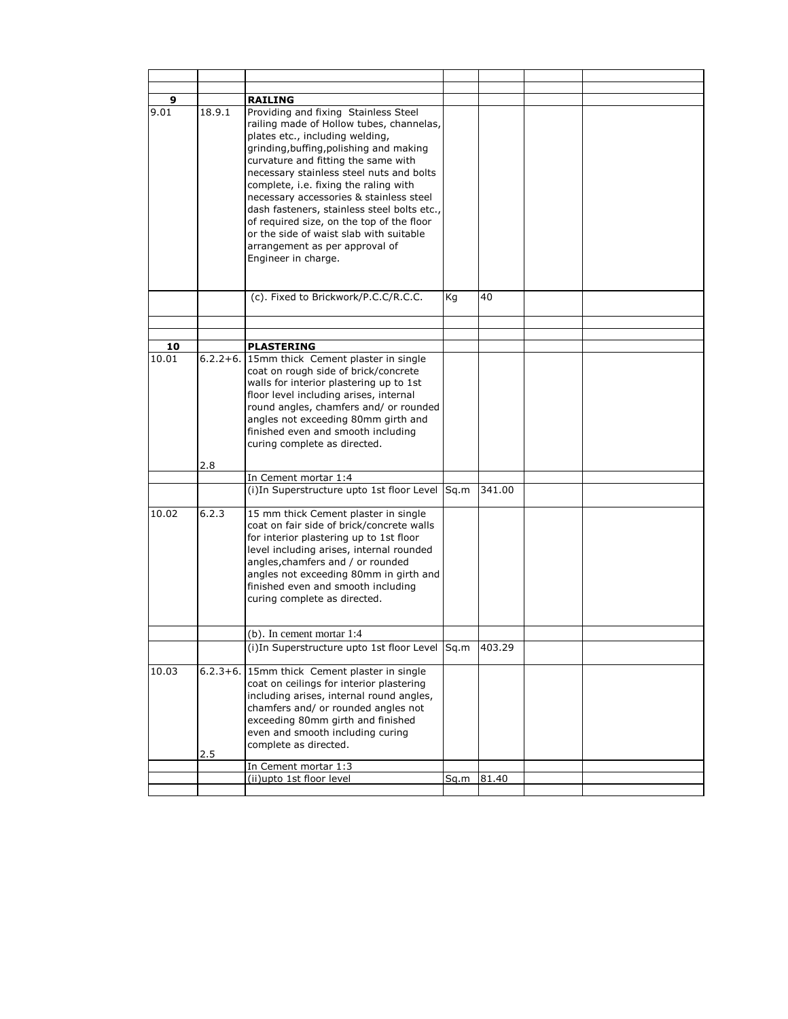| 9<br>9.01 | 18.9.1 | <b>RAILING</b><br>Providing and fixing Stainless Steel<br>railing made of Hollow tubes, channelas,                                                                        |      |        |  |
|-----------|--------|---------------------------------------------------------------------------------------------------------------------------------------------------------------------------|------|--------|--|
|           |        | plates etc., including welding,<br>grinding, buffing, polishing and making<br>curvature and fitting the same with                                                         |      |        |  |
|           |        | necessary stainless steel nuts and bolts<br>complete, i.e. fixing the raling with<br>necessary accessories & stainless steel                                              |      |        |  |
|           |        | dash fasteners, stainless steel bolts etc.,<br>of required size, on the top of the floor<br>or the side of waist slab with suitable<br>arrangement as per approval of     |      |        |  |
|           |        | Engineer in charge.                                                                                                                                                       |      |        |  |
|           |        | (c). Fixed to Brickwork/P.C.C/R.C.C.                                                                                                                                      | Kg   | 40     |  |
|           |        |                                                                                                                                                                           |      |        |  |
| 10        |        | <b>PLASTERING</b>                                                                                                                                                         |      |        |  |
| 10.01     |        | 6.2.2+6. 15mm thick Cement plaster in single<br>coat on rough side of brick/concrete<br>walls for interior plastering up to 1st<br>floor level including arises, internal |      |        |  |
|           |        | round angles, chamfers and/ or rounded<br>angles not exceeding 80mm girth and                                                                                             |      |        |  |
|           |        | finished even and smooth including<br>curing complete as directed.                                                                                                        |      |        |  |
|           | 2.8    |                                                                                                                                                                           |      |        |  |
|           |        | In Cement mortar 1:4<br>(i) In Superstructure upto 1st floor Level Sq.m                                                                                                   |      | 341.00 |  |
| 10.02     | 6.2.3  | 15 mm thick Cement plaster in single<br>coat on fair side of brick/concrete walls<br>for interior plastering up to 1st floor                                              |      |        |  |
|           |        | level including arises, internal rounded<br>angles, chamfers and / or rounded<br>angles not exceeding 80mm in girth and                                                   |      |        |  |
|           |        | finished even and smooth including<br>curing complete as directed.                                                                                                        |      |        |  |
|           |        | (b). In cement mortar 1:4                                                                                                                                                 |      |        |  |
|           |        | (i)In Superstructure upto 1st floor Level [Sq.m  403.29]                                                                                                                  |      |        |  |
| 10.03     |        | 6.2.3+6. 15mm thick Cement plaster in single<br>coat on ceilings for interior plastering<br>including arises, internal round angles,                                      |      |        |  |
|           |        | chamfers and/ or rounded angles not<br>exceeding 80mm girth and finished                                                                                                  |      |        |  |
|           |        | even and smooth including curing<br>complete as directed.                                                                                                                 |      |        |  |
|           | 2.5    |                                                                                                                                                                           |      |        |  |
|           |        | In Cement mortar 1:3<br>(ii)upto 1st floor level                                                                                                                          | Sq.m | 81.40  |  |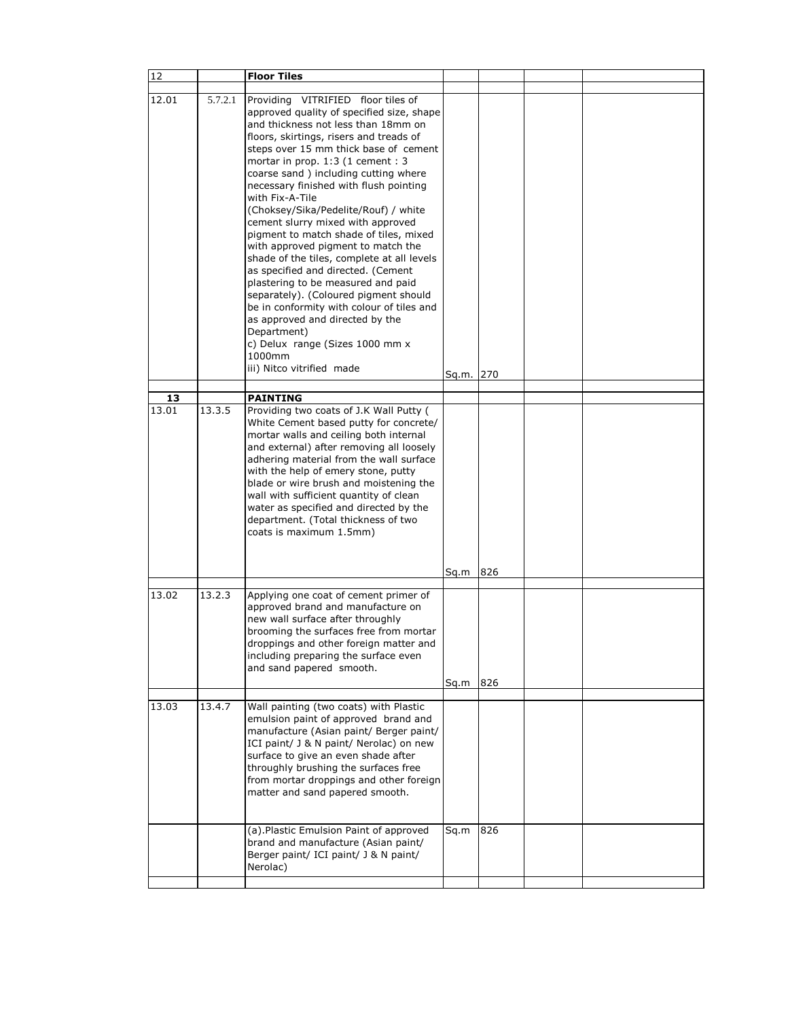| 12          |         | <b>Floor Tiles</b>                                                                                                                                                                                                                                                                                                                                                                                                                                                                                                                                                                                                                                                                                                                                                                                                                                            |           |     |  |
|-------------|---------|---------------------------------------------------------------------------------------------------------------------------------------------------------------------------------------------------------------------------------------------------------------------------------------------------------------------------------------------------------------------------------------------------------------------------------------------------------------------------------------------------------------------------------------------------------------------------------------------------------------------------------------------------------------------------------------------------------------------------------------------------------------------------------------------------------------------------------------------------------------|-----------|-----|--|
|             |         |                                                                                                                                                                                                                                                                                                                                                                                                                                                                                                                                                                                                                                                                                                                                                                                                                                                               |           |     |  |
| 12.01       | 5.7.2.1 | Providing VITRIFIED floor tiles of<br>approved quality of specified size, shape<br>and thickness not less than 18mm on<br>floors, skirtings, risers and treads of<br>steps over 15 mm thick base of cement<br>mortar in prop. 1:3 (1 cement : 3<br>coarse sand) including cutting where<br>necessary finished with flush pointing<br>with Fix-A-Tile<br>(Choksey/Sika/Pedelite/Rouf) / white<br>cement slurry mixed with approved<br>pigment to match shade of tiles, mixed<br>with approved pigment to match the<br>shade of the tiles, complete at all levels<br>as specified and directed. (Cement<br>plastering to be measured and paid<br>separately). (Coloured pigment should<br>be in conformity with colour of tiles and<br>as approved and directed by the<br>Department)<br>c) Delux range (Sizes 1000 mm x<br>1000mm<br>iii) Nitco vitrified made |           |     |  |
|             |         |                                                                                                                                                                                                                                                                                                                                                                                                                                                                                                                                                                                                                                                                                                                                                                                                                                                               | Sq.m. 270 |     |  |
|             |         |                                                                                                                                                                                                                                                                                                                                                                                                                                                                                                                                                                                                                                                                                                                                                                                                                                                               |           |     |  |
| 13<br>13.01 |         | <b>PAINTING</b>                                                                                                                                                                                                                                                                                                                                                                                                                                                                                                                                                                                                                                                                                                                                                                                                                                               |           |     |  |
|             | 13.3.5  | Providing two coats of J.K Wall Putty (<br>White Cement based putty for concrete/<br>mortar walls and ceiling both internal<br>and external) after removing all loosely<br>adhering material from the wall surface<br>with the help of emery stone, putty<br>blade or wire brush and moistening the<br>wall with sufficient quantity of clean<br>water as specified and directed by the<br>department. (Total thickness of two<br>coats is maximum 1.5mm)                                                                                                                                                                                                                                                                                                                                                                                                     |           |     |  |
|             |         |                                                                                                                                                                                                                                                                                                                                                                                                                                                                                                                                                                                                                                                                                                                                                                                                                                                               |           |     |  |
|             |         |                                                                                                                                                                                                                                                                                                                                                                                                                                                                                                                                                                                                                                                                                                                                                                                                                                                               | Sq.m      | 826 |  |
| 13.02       | 13.2.3  | Applying one coat of cement primer of<br>approved brand and manufacture on<br>new wall surface after throughly<br>brooming the surfaces free from mortar<br>droppings and other foreign matter and<br>including preparing the surface even<br>and sand papered smooth.                                                                                                                                                                                                                                                                                                                                                                                                                                                                                                                                                                                        | Sq.m      | 826 |  |
|             |         |                                                                                                                                                                                                                                                                                                                                                                                                                                                                                                                                                                                                                                                                                                                                                                                                                                                               |           |     |  |
| 13.03       | 13.4.7  | Wall painting (two coats) with Plastic<br>emulsion paint of approved brand and<br>manufacture (Asian paint/ Berger paint/<br>ICI paint/ J & N paint/ Nerolac) on new<br>surface to give an even shade after<br>throughly brushing the surfaces free<br>from mortar droppings and other foreign<br>matter and sand papered smooth.<br>(a). Plastic Emulsion Paint of approved<br>brand and manufacture (Asian paint/                                                                                                                                                                                                                                                                                                                                                                                                                                           | Sq.m      | 826 |  |
|             |         | Berger paint/ ICI paint/ J & N paint/<br>Nerolac)                                                                                                                                                                                                                                                                                                                                                                                                                                                                                                                                                                                                                                                                                                                                                                                                             |           |     |  |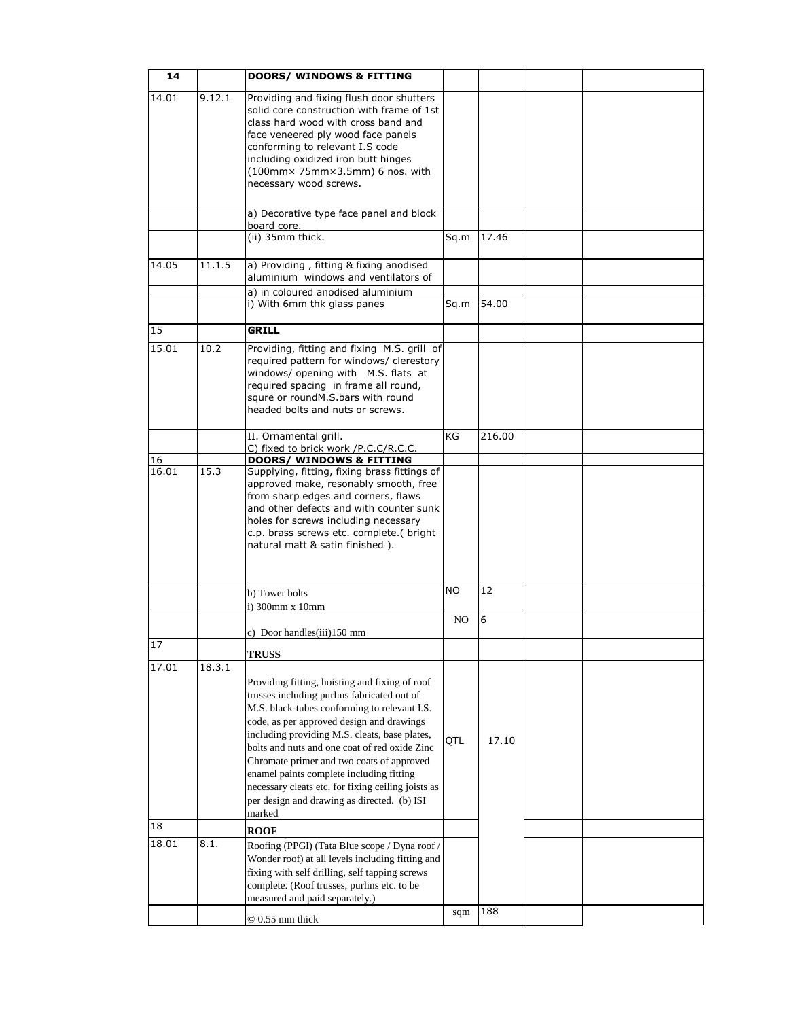| 14    |        | <b>DOORS/ WINDOWS &amp; FITTING</b>                                                                                                                                                                                                                                                                                                                                                                                                                                                                  |      |        |  |
|-------|--------|------------------------------------------------------------------------------------------------------------------------------------------------------------------------------------------------------------------------------------------------------------------------------------------------------------------------------------------------------------------------------------------------------------------------------------------------------------------------------------------------------|------|--------|--|
| 14.01 | 9.12.1 | Providing and fixing flush door shutters<br>solid core construction with frame of 1st<br>class hard wood with cross band and<br>face veneered ply wood face panels<br>conforming to relevant I.S code<br>including oxidized iron butt hinges<br>(100mm× 75mm×3.5mm) 6 nos. with<br>necessary wood screws.                                                                                                                                                                                            |      |        |  |
|       |        | a) Decorative type face panel and block                                                                                                                                                                                                                                                                                                                                                                                                                                                              |      |        |  |
|       |        | board core.<br>(ii) 35mm thick.                                                                                                                                                                                                                                                                                                                                                                                                                                                                      | Sq.m | 17.46  |  |
| 14.05 | 11.1.5 | a) Providing, fitting & fixing anodised<br>aluminium windows and ventilators of                                                                                                                                                                                                                                                                                                                                                                                                                      |      |        |  |
|       |        | a) in coloured anodised aluminium<br>i) With 6mm thk glass panes                                                                                                                                                                                                                                                                                                                                                                                                                                     | Sq.m | 54.00  |  |
| 15    |        | <b>GRILL</b>                                                                                                                                                                                                                                                                                                                                                                                                                                                                                         |      |        |  |
| 15.01 | 10.2   | Providing, fitting and fixing M.S. grill of<br>required pattern for windows/ clerestory<br>windows/ opening with M.S. flats at<br>required spacing in frame all round,<br>squre or roundM.S.bars with round<br>headed bolts and nuts or screws.                                                                                                                                                                                                                                                      |      |        |  |
|       |        | II. Ornamental grill.                                                                                                                                                                                                                                                                                                                                                                                                                                                                                | KG   | 216.00 |  |
| 16    |        | C) fixed to brick work /P.C.C/R.C.C.<br><b>DOORS/ WINDOWS &amp; FITTING</b>                                                                                                                                                                                                                                                                                                                                                                                                                          |      |        |  |
| 16.01 | 15.3   | Supplying, fitting, fixing brass fittings of<br>approved make, resonably smooth, free<br>from sharp edges and corners, flaws<br>and other defects and with counter sunk<br>holes for screws including necessary<br>c.p. brass screws etc. complete.( bright<br>natural matt & satin finished).                                                                                                                                                                                                       |      |        |  |
|       |        | b) Tower bolts<br>i) 300mm x 10mm                                                                                                                                                                                                                                                                                                                                                                                                                                                                    | NO.  | 12     |  |
|       |        | c) Door handles(iii)150 mm                                                                                                                                                                                                                                                                                                                                                                                                                                                                           | NO   | 6      |  |
| 17    |        | <b>TRUSS</b>                                                                                                                                                                                                                                                                                                                                                                                                                                                                                         |      |        |  |
| 17.01 | 18.3.1 | Providing fitting, hoisting and fixing of roof<br>trusses including purlins fabricated out of<br>M.S. black-tubes conforming to relevant I.S.<br>code, as per approved design and drawings<br>including providing M.S. cleats, base plates,<br>bolts and nuts and one coat of red oxide Zinc<br>Chromate primer and two coats of approved<br>enamel paints complete including fitting<br>necessary cleats etc. for fixing ceiling joists as<br>per design and drawing as directed. (b) ISI<br>marked | QTL  | 17.10  |  |
| 18    |        | <b>ROOF</b>                                                                                                                                                                                                                                                                                                                                                                                                                                                                                          |      |        |  |
| 18.01 | 8.1.   | Roofing (PPGI) (Tata Blue scope / Dyna roof /<br>Wonder roof) at all levels including fitting and<br>fixing with self drilling, self tapping screws<br>complete. (Roof trusses, purlins etc. to be<br>measured and paid separately.)                                                                                                                                                                                                                                                                 |      |        |  |
|       |        | $@0.55$ mm thick                                                                                                                                                                                                                                                                                                                                                                                                                                                                                     | sqm  | 188    |  |